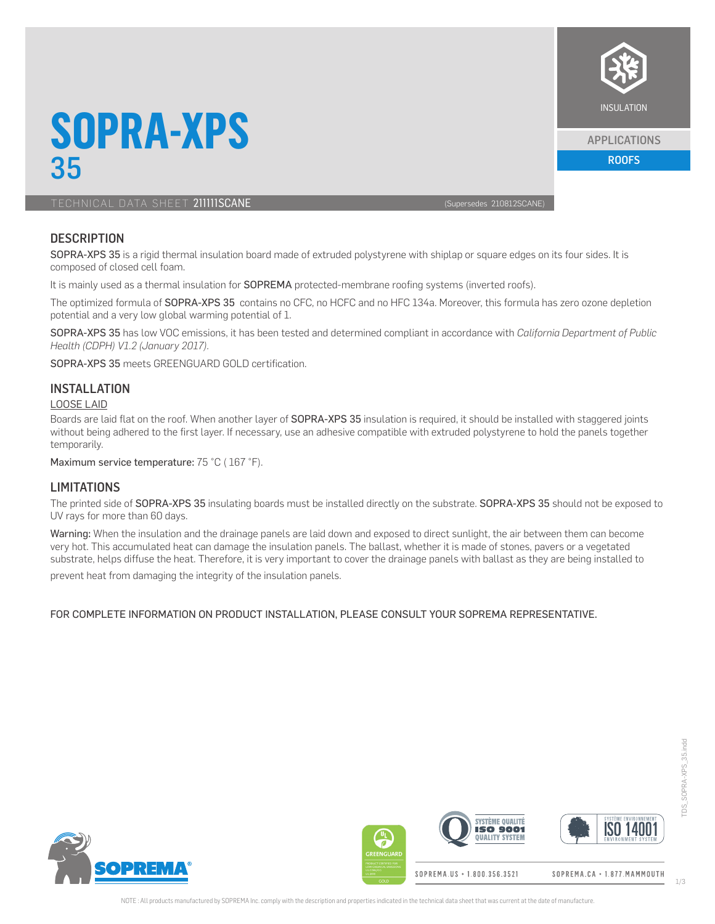

#### APPLICATIONS

ROOFS

## **SOPRA-XPS** 35

TECHNICAL DATA SHEET 211111SCANE (Supersedes 210812SCANE)

## **DESCRIPTION**

SOPRA-XPS 35 is a rigid thermal insulation board made of extruded polystyrene with shiplap or square edges on its four sides. It is composed of closed cell foam.

It is mainly used as a thermal insulation for SOPREMA protected-membrane roofing systems (inverted roofs).

The optimized formula of SOPRA-XPS 35 contains no CFC, no HCFC and no HFC 134a. Moreover, this formula has zero ozone depletion potential and a very low global warming potential of 1.

SOPRA-XPS 35 has low VOC emissions, it has been tested and determined compliant in accordance with *California Department of Public Health (CDPH) V1.2 (January 2017).*

SOPRA-XPS 35 meets GREENGUARD GOLD certification.

## INSTALL ATION

#### LOOSE LAID

Boards are laid flat on the roof. When another layer of SOPRA-XPS 35 insulation is required, it should be installed with staggered joints without being adhered to the first layer. If necessary, use an adhesive compatible with extruded polystyrene to hold the panels together temporarily.

Maximum service temperature: 75 °C (167 °F).

## **LIMITATIONS**

The printed side of SOPRA-XPS 35 insulating boards must be installed directly on the substrate. SOPRA-XPS 35 should not be exposed to UV rays for more than 60 days.

Warning: When the insulation and the drainage panels are laid down and exposed to direct sunlight, the air between them can become very hot. This accumulated heat can damage the insulation panels. The ballast, whether it is made of stones, pavers or a vegetated substrate, helps diffuse the heat. Therefore, it is very important to cover the drainage panels with ballast as they are being installed to

prevent heat from damaging the integrity of the insulation panels.

#### FOR COMPLETE INFORMATION ON PRODUCT INSTALLATION, PLEASE CONSULT YOUR SOPREMA REPRESENTATIVE.



**SVSTÈME QUALITÉ ISO 1400 ISO 9001**  $\overline{\mathbb{F}}$ **OUALITY SYSTEM**  $\overline{a}$ 

SOPREMA.US · 1.800.356.3521

SOPREMA.CA · 1.877. MAMMOUTH

TDS\_SOPRA-XPS\_35.indd

DS\_SOPRA-XPS\_35.indd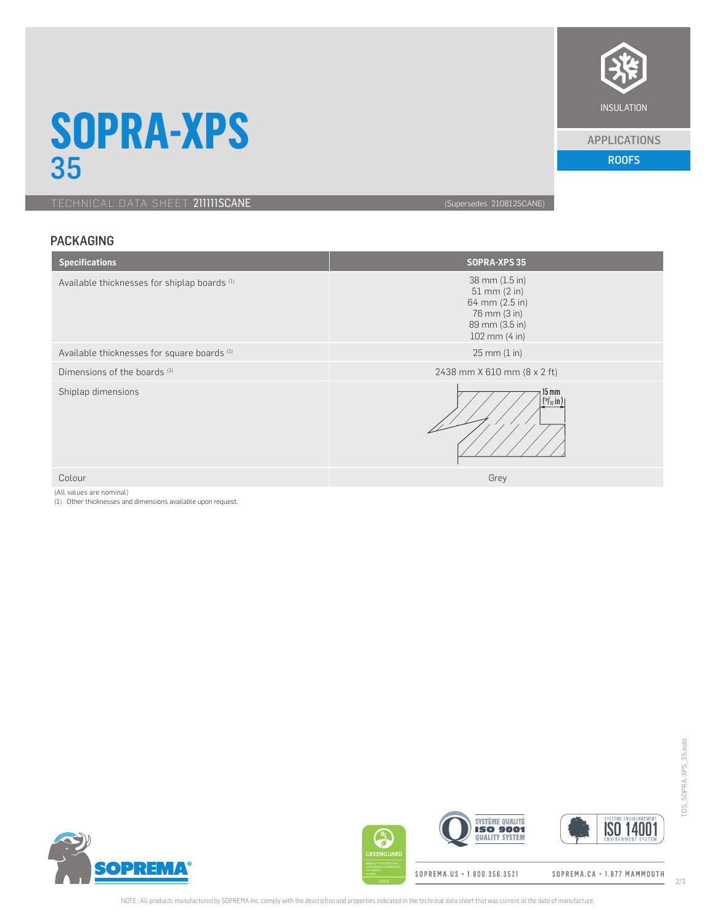

#### APPLICATIONS

ROOFS

**SOPRA-XPS** 35

TECHNICAL DATA SHEET 211111SCANE (Supersedes 210812SCANE)

## PACKAGING

| <b>Specifications</b>                                   | <b>SOPRA-XPS 35</b>                                                                                     |
|---------------------------------------------------------|---------------------------------------------------------------------------------------------------------|
| Available thicknesses for shiplap boards <sup>(1)</sup> | 38 mm (1.5 in)<br>$51$ mm $(2$ in)<br>64 mm (2.5 in)<br>76 mm (3 in)<br>89 mm (3.5 in)<br>102 mm (4 in) |
| Available thicknesses for square boards <sup>(1)</sup>  | $25 \, \text{mm} \, (1 \, \text{in})$                                                                   |
| Dimensions of the boards (1)                            | 2438 mm X 610 mm (8 x 2 ft)                                                                             |
| Shiplap dimensions                                      | $15 \text{ mm}$<br>$(^{19}/_{32}$ in )                                                                  |
| Colour                                                  | Grey                                                                                                    |

(All values are nominal)

(1) Other thicknesses and dimensions available upon request.



 $\bigoplus$ REENGUAR

SOPREMA.US + 1.800.356.3521

**SYSTÈME QUALITÉ** 

**QUALITY SYSTEM** 

SOPREMA.CA · 1.877.MAMMOUTH

**ISO 14001**